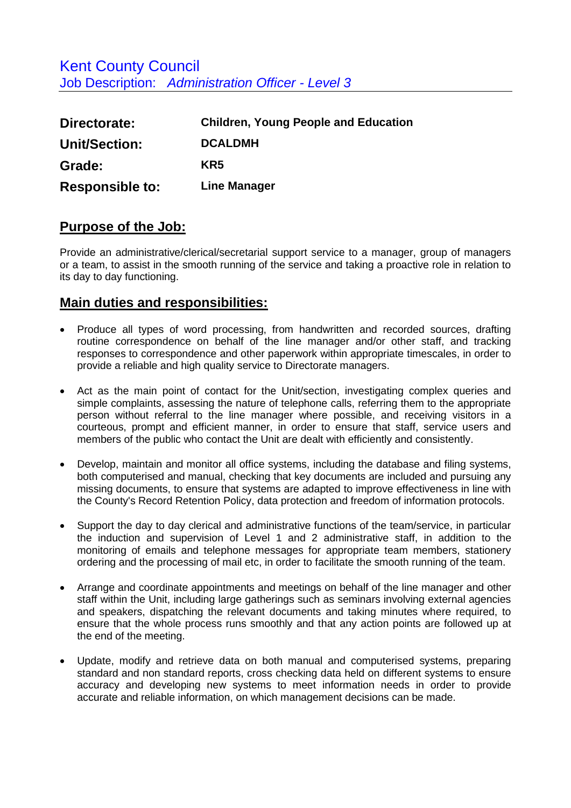| Directorate:           | <b>Children, Young People and Education</b> |
|------------------------|---------------------------------------------|
| Unit/Section:          | <b>DCALDMH</b>                              |
| Grade:                 | KR5                                         |
| <b>Responsible to:</b> | <b>Line Manager</b>                         |

## **Purpose of the Job:**

Provide an administrative/clerical/secretarial support service to a manager, group of managers or a team, to assist in the smooth running of the service and taking a proactive role in relation to its day to day functioning.

## **Main duties and responsibilities:**

- Produce all types of word processing, from handwritten and recorded sources, drafting routine correspondence on behalf of the line manager and/or other staff, and tracking responses to correspondence and other paperwork within appropriate timescales, in order to provide a reliable and high quality service to Directorate managers.
- Act as the main point of contact for the Unit/section, investigating complex queries and simple complaints, assessing the nature of telephone calls, referring them to the appropriate person without referral to the line manager where possible, and receiving visitors in a courteous, prompt and efficient manner, in order to ensure that staff, service users and members of the public who contact the Unit are dealt with efficiently and consistently.
- Develop, maintain and monitor all office systems, including the database and filing systems, both computerised and manual, checking that key documents are included and pursuing any missing documents, to ensure that systems are adapted to improve effectiveness in line with the County's Record Retention Policy, data protection and freedom of information protocols.
- Support the day to day clerical and administrative functions of the team/service, in particular the induction and supervision of Level 1 and 2 administrative staff, in addition to the monitoring of emails and telephone messages for appropriate team members, stationery ordering and the processing of mail etc, in order to facilitate the smooth running of the team.
- Arrange and coordinate appointments and meetings on behalf of the line manager and other staff within the Unit, including large gatherings such as seminars involving external agencies and speakers, dispatching the relevant documents and taking minutes where required, to ensure that the whole process runs smoothly and that any action points are followed up at the end of the meeting.
- Update, modify and retrieve data on both manual and computerised systems, preparing standard and non standard reports, cross checking data held on different systems to ensure accuracy and developing new systems to meet information needs in order to provide accurate and reliable information, on which management decisions can be made.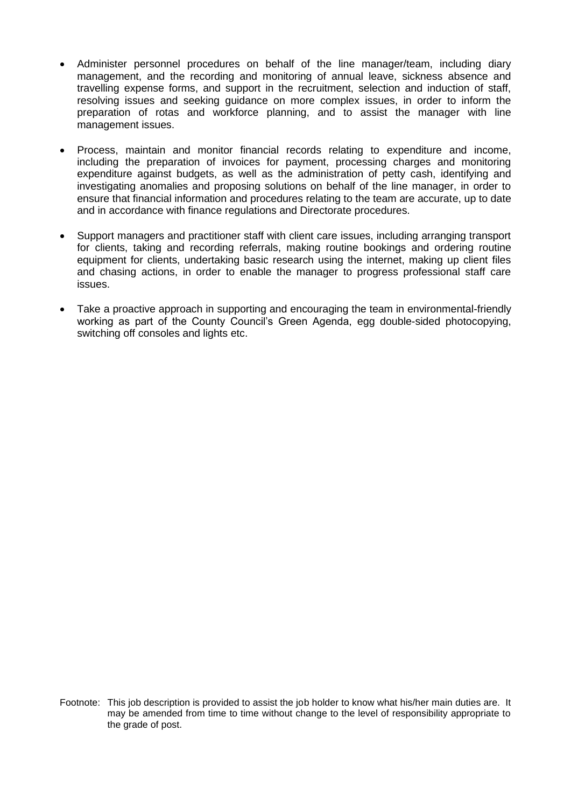- Administer personnel procedures on behalf of the line manager/team, including diary management, and the recording and monitoring of annual leave, sickness absence and travelling expense forms, and support in the recruitment, selection and induction of staff, resolving issues and seeking guidance on more complex issues, in order to inform the preparation of rotas and workforce planning, and to assist the manager with line management issues.
- Process, maintain and monitor financial records relating to expenditure and income, including the preparation of invoices for payment, processing charges and monitoring expenditure against budgets, as well as the administration of petty cash, identifying and investigating anomalies and proposing solutions on behalf of the line manager, in order to ensure that financial information and procedures relating to the team are accurate, up to date and in accordance with finance regulations and Directorate procedures.
- Support managers and practitioner staff with client care issues, including arranging transport for clients, taking and recording referrals, making routine bookings and ordering routine equipment for clients, undertaking basic research using the internet, making up client files and chasing actions, in order to enable the manager to progress professional staff care issues.
- Take a proactive approach in supporting and encouraging the team in environmental-friendly working as part of the County Council's Green Agenda, egg double-sided photocopying, switching off consoles and lights etc.

Footnote: This job description is provided to assist the job holder to know what his/her main duties are. It may be amended from time to time without change to the level of responsibility appropriate to the grade of post.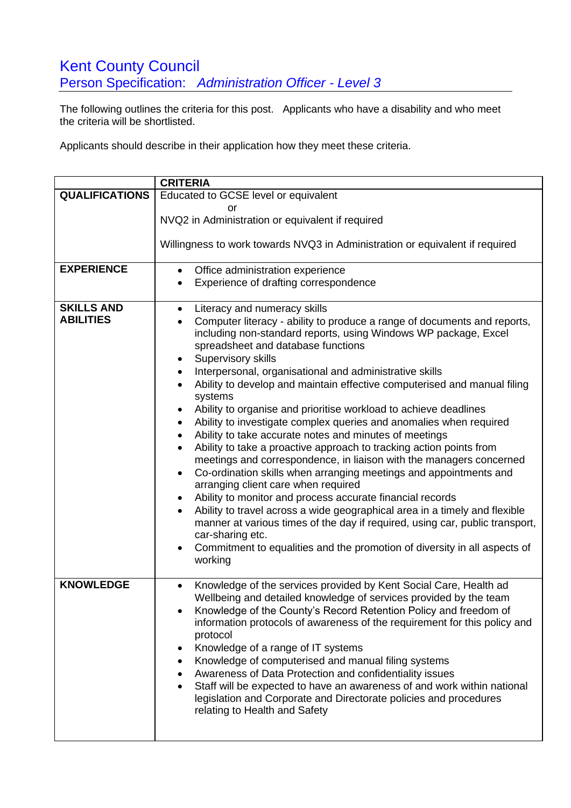## **Kent County Council** Person Specification: *Administration Officer - Level 3*

The following outlines the criteria for this post. Applicants who have a disability and who meet the criteria will be shortlisted.

Applicants should describe in their application how they meet these criteria.

|                                       | <b>CRITERIA</b>                                                                                                                                                                                                                                                                                                                                                                                                                                                                                                                                                                                                                                                                                                                                                                                                                                                                                                                                                                                                                                                                                                                                                                                                                                                                                                       |
|---------------------------------------|-----------------------------------------------------------------------------------------------------------------------------------------------------------------------------------------------------------------------------------------------------------------------------------------------------------------------------------------------------------------------------------------------------------------------------------------------------------------------------------------------------------------------------------------------------------------------------------------------------------------------------------------------------------------------------------------------------------------------------------------------------------------------------------------------------------------------------------------------------------------------------------------------------------------------------------------------------------------------------------------------------------------------------------------------------------------------------------------------------------------------------------------------------------------------------------------------------------------------------------------------------------------------------------------------------------------------|
| <b>QUALIFICATIONS</b>                 | Educated to GCSE level or equivalent                                                                                                                                                                                                                                                                                                                                                                                                                                                                                                                                                                                                                                                                                                                                                                                                                                                                                                                                                                                                                                                                                                                                                                                                                                                                                  |
|                                       | or<br>NVQ2 in Administration or equivalent if required                                                                                                                                                                                                                                                                                                                                                                                                                                                                                                                                                                                                                                                                                                                                                                                                                                                                                                                                                                                                                                                                                                                                                                                                                                                                |
|                                       | Willingness to work towards NVQ3 in Administration or equivalent if required                                                                                                                                                                                                                                                                                                                                                                                                                                                                                                                                                                                                                                                                                                                                                                                                                                                                                                                                                                                                                                                                                                                                                                                                                                          |
| <b>EXPERIENCE</b>                     | Office administration experience<br>$\bullet$                                                                                                                                                                                                                                                                                                                                                                                                                                                                                                                                                                                                                                                                                                                                                                                                                                                                                                                                                                                                                                                                                                                                                                                                                                                                         |
|                                       | Experience of drafting correspondence<br>٠                                                                                                                                                                                                                                                                                                                                                                                                                                                                                                                                                                                                                                                                                                                                                                                                                                                                                                                                                                                                                                                                                                                                                                                                                                                                            |
| <b>SKILLS AND</b><br><b>ABILITIES</b> | Literacy and numeracy skills<br>$\bullet$<br>Computer literacy - ability to produce a range of documents and reports,<br>$\bullet$<br>including non-standard reports, using Windows WP package, Excel<br>spreadsheet and database functions<br>Supervisory skills<br>٠<br>Interpersonal, organisational and administrative skills<br>$\bullet$<br>Ability to develop and maintain effective computerised and manual filing<br>$\bullet$<br>systems<br>Ability to organise and prioritise workload to achieve deadlines<br>Ability to investigate complex queries and anomalies when required<br>٠<br>Ability to take accurate notes and minutes of meetings<br>$\bullet$<br>Ability to take a proactive approach to tracking action points from<br>$\bullet$<br>meetings and correspondence, in liaison with the managers concerned<br>Co-ordination skills when arranging meetings and appointments and<br>$\bullet$<br>arranging client care when required<br>Ability to monitor and process accurate financial records<br>٠<br>Ability to travel across a wide geographical area in a timely and flexible<br>$\bullet$<br>manner at various times of the day if required, using car, public transport,<br>car-sharing etc.<br>Commitment to equalities and the promotion of diversity in all aspects of<br>working |
| <b>KNOWLEDGE</b>                      | Knowledge of the services provided by Kent Social Care, Health ad<br>$\bullet$<br>Wellbeing and detailed knowledge of services provided by the team<br>Knowledge of the County's Record Retention Policy and freedom of<br>information protocols of awareness of the requirement for this policy and<br>protocol<br>Knowledge of a range of IT systems<br>Knowledge of computerised and manual filing systems<br>٠<br>Awareness of Data Protection and confidentiality issues<br>٠<br>Staff will be expected to have an awareness of and work within national<br>legislation and Corporate and Directorate policies and procedures<br>relating to Health and Safety                                                                                                                                                                                                                                                                                                                                                                                                                                                                                                                                                                                                                                                   |